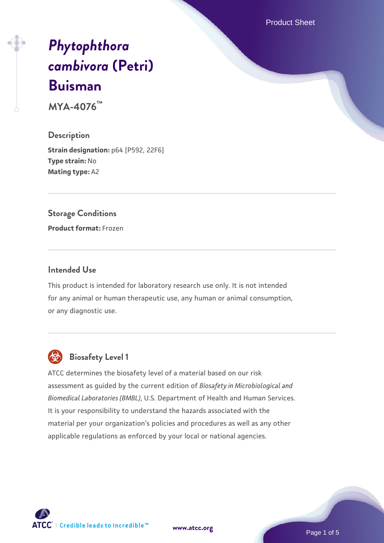Product Sheet

# *[Phytophthora](https://www.atcc.org/products/mya-4076) [cambivora](https://www.atcc.org/products/mya-4076)* **[\(Petri\)](https://www.atcc.org/products/mya-4076) [Buisman](https://www.atcc.org/products/mya-4076)**

**MYA-4076™**

**Description Strain designation:** p64 [P592, 22F6] **Type strain:** No **Mating type:** A2

### **Storage Conditions**

**Product format:** Frozen

#### **Intended Use**

This product is intended for laboratory research use only. It is not intended for any animal or human therapeutic use, any human or animal consumption, or any diagnostic use.



# **Biosafety Level 1**

ATCC determines the biosafety level of a material based on our risk assessment as guided by the current edition of *Biosafety in Microbiological and Biomedical Laboratories (BMBL)*, U.S. Department of Health and Human Services. It is your responsibility to understand the hazards associated with the material per your organization's policies and procedures as well as any other applicable regulations as enforced by your local or national agencies.

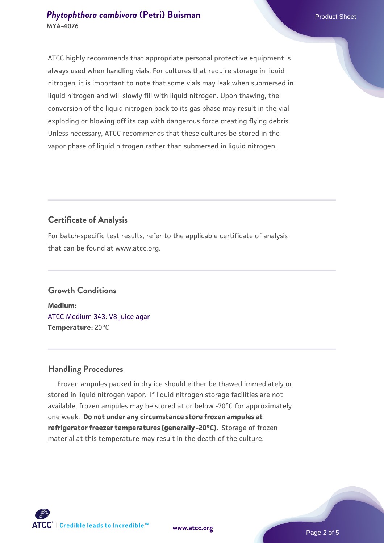## **[Phytophthora cambivora](https://www.atcc.org/products/mya-4076) [\(Petri\) Buisman](https://www.atcc.org/products/mya-4076)** Product Sheet **MYA-4076**

ATCC highly recommends that appropriate personal protective equipment is always used when handling vials. For cultures that require storage in liquid nitrogen, it is important to note that some vials may leak when submersed in liquid nitrogen and will slowly fill with liquid nitrogen. Upon thawing, the conversion of the liquid nitrogen back to its gas phase may result in the vial exploding or blowing off its cap with dangerous force creating flying debris. Unless necessary, ATCC recommends that these cultures be stored in the vapor phase of liquid nitrogen rather than submersed in liquid nitrogen.

# **Certificate of Analysis**

For batch-specific test results, refer to the applicable certificate of analysis that can be found at www.atcc.org.

## **Growth Conditions**

**Medium:**  [ATCC Medium 343: V8 juice agar](https://www.atcc.org/-/media/product-assets/documents/microbial-media-formulations/3/4/3/atcc-medium-0343.pdf?rev=fbf48fa24e664932828269db1822ab12) **Temperature:** 20°C

## **Handling Procedures**

 Frozen ampules packed in dry ice should either be thawed immediately or stored in liquid nitrogen vapor. If liquid nitrogen storage facilities are not available, frozen ampules may be stored at or below -70°C for approximately one week. **Do not under any circumstance store frozen ampules at refrigerator freezer temperatures (generally -20°C).** Storage of frozen material at this temperature may result in the death of the culture.



**[www.atcc.org](http://www.atcc.org)**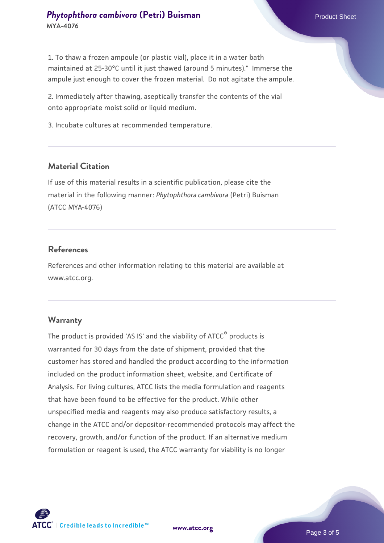1. To thaw a frozen ampoule (or plastic vial), place it in a water bath maintained at 25-30°C until it just thawed (around 5 minutes)." Immerse the ampule just enough to cover the frozen material. Do not agitate the ampule.

2. Immediately after thawing, aseptically transfer the contents of the vial onto appropriate moist solid or liquid medium.

3. Incubate cultures at recommended temperature.

#### **Material Citation**

If use of this material results in a scientific publication, please cite the material in the following manner: *Phytophthora cambivora* (Petri) Buisman (ATCC MYA-4076)

#### **References**

References and other information relating to this material are available at www.atcc.org.

#### **Warranty**

The product is provided 'AS IS' and the viability of ATCC® products is warranted for 30 days from the date of shipment, provided that the customer has stored and handled the product according to the information included on the product information sheet, website, and Certificate of Analysis. For living cultures, ATCC lists the media formulation and reagents that have been found to be effective for the product. While other unspecified media and reagents may also produce satisfactory results, a change in the ATCC and/or depositor-recommended protocols may affect the recovery, growth, and/or function of the product. If an alternative medium formulation or reagent is used, the ATCC warranty for viability is no longer



**[www.atcc.org](http://www.atcc.org)**

Page 3 of 5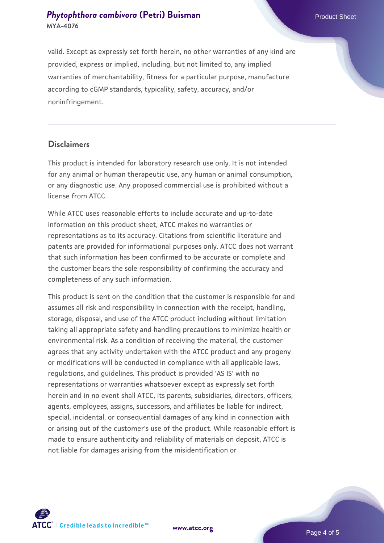## **[Phytophthora cambivora](https://www.atcc.org/products/mya-4076) [\(Petri\) Buisman](https://www.atcc.org/products/mya-4076)** Product Sheet **MYA-4076**

valid. Except as expressly set forth herein, no other warranties of any kind are provided, express or implied, including, but not limited to, any implied warranties of merchantability, fitness for a particular purpose, manufacture according to cGMP standards, typicality, safety, accuracy, and/or noninfringement.

#### **Disclaimers**

This product is intended for laboratory research use only. It is not intended for any animal or human therapeutic use, any human or animal consumption, or any diagnostic use. Any proposed commercial use is prohibited without a license from ATCC.

While ATCC uses reasonable efforts to include accurate and up-to-date information on this product sheet, ATCC makes no warranties or representations as to its accuracy. Citations from scientific literature and patents are provided for informational purposes only. ATCC does not warrant that such information has been confirmed to be accurate or complete and the customer bears the sole responsibility of confirming the accuracy and completeness of any such information.

This product is sent on the condition that the customer is responsible for and assumes all risk and responsibility in connection with the receipt, handling, storage, disposal, and use of the ATCC product including without limitation taking all appropriate safety and handling precautions to minimize health or environmental risk. As a condition of receiving the material, the customer agrees that any activity undertaken with the ATCC product and any progeny or modifications will be conducted in compliance with all applicable laws, regulations, and guidelines. This product is provided 'AS IS' with no representations or warranties whatsoever except as expressly set forth herein and in no event shall ATCC, its parents, subsidiaries, directors, officers, agents, employees, assigns, successors, and affiliates be liable for indirect, special, incidental, or consequential damages of any kind in connection with or arising out of the customer's use of the product. While reasonable effort is made to ensure authenticity and reliability of materials on deposit, ATCC is not liable for damages arising from the misidentification or



**[www.atcc.org](http://www.atcc.org)**

Page 4 of 5